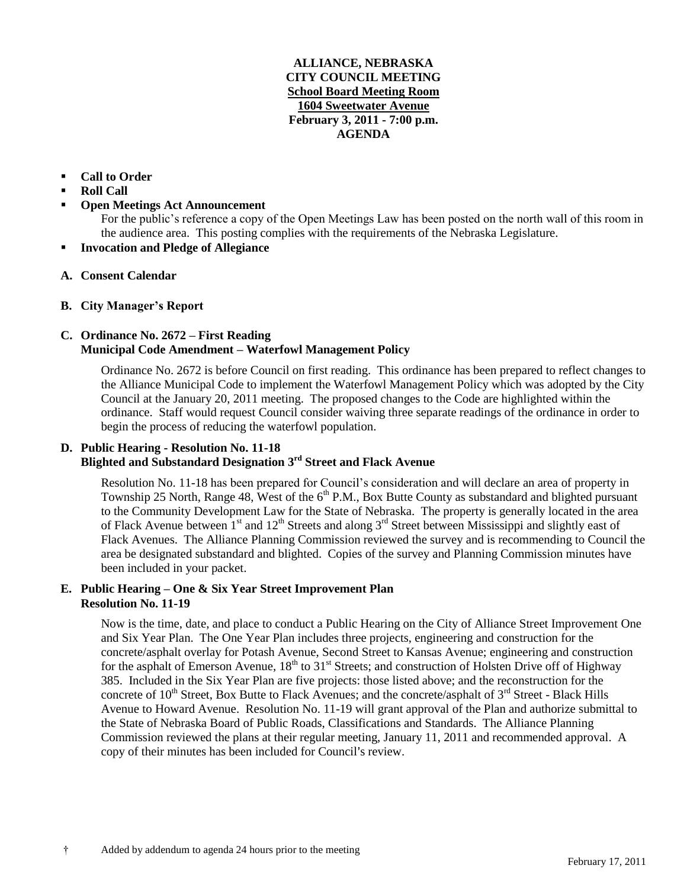#### **ALLIANCE, NEBRASKA CITY COUNCIL MEETING School Board Meeting Room 1604 Sweetwater Avenue February 3, 2011 - 7:00 p.m. AGENDA**

# **Call to Order**

- **Roll Call**
- **Open Meetings Act Announcement**

For the public's reference a copy of the Open Meetings Law has been posted on the north wall of this room in the audience area. This posting complies with the requirements of the Nebraska Legislature.

- **Invocation and Pledge of Allegiance**
- **A. Consent Calendar**
- **B. City Manager's Report**

## **C. Ordinance No. 2672 – First Reading Municipal Code Amendment – Waterfowl Management Policy**

Ordinance No. 2672 is before Council on first reading. This ordinance has been prepared to reflect changes to the Alliance Municipal Code to implement the Waterfowl Management Policy which was adopted by the City Council at the January 20, 2011 meeting. The proposed changes to the Code are highlighted within the ordinance. Staff would request Council consider waiving three separate readings of the ordinance in order to begin the process of reducing the waterfowl population.

#### **D. Public Hearing - Resolution No. 11-18 Blighted and Substandard Designation 3rd Street and Flack Avenue**

Resolution No. 11-18 has been prepared for Council's consideration and will declare an area of property in Township 25 North, Range 48, West of the 6<sup>th</sup> P.M., Box Butte County as substandard and blighted pursuant to the Community Development Law for the State of Nebraska. The property is generally located in the area of Flack Avenue between  $1<sup>st</sup>$  and  $12<sup>th</sup>$  Streets and along  $3<sup>rd</sup>$  Street between Mississippi and slightly east of Flack Avenues. The Alliance Planning Commission reviewed the survey and is recommending to Council the area be designated substandard and blighted. Copies of the survey and Planning Commission minutes have been included in your packet.

# **E. Public Hearing – One & Six Year Street Improvement Plan Resolution No. 11-19**

Now is the time, date, and place to conduct a Public Hearing on the City of Alliance Street Improvement One and Six Year Plan. The One Year Plan includes three projects, engineering and construction for the concrete/asphalt overlay for Potash Avenue, Second Street to Kansas Avenue; engineering and construction for the asphalt of Emerson Avenue,  $18<sup>th</sup>$  to  $31<sup>st</sup>$  Streets; and construction of Holsten Drive off of Highway 385. Included in the Six Year Plan are five projects: those listed above; and the reconstruction for the concrete of  $10^{th}$  Street, Box Butte to Flack Avenues; and the concrete/asphalt of  $3^{rd}$  Street - Black Hills Avenue to Howard Avenue. Resolution No. 11-19 will grant approval of the Plan and authorize submittal to the State of Nebraska Board of Public Roads, Classifications and Standards. The Alliance Planning Commission reviewed the plans at their regular meeting, January 11, 2011 and recommended approval. A copy of their minutes has been included for Council's review.